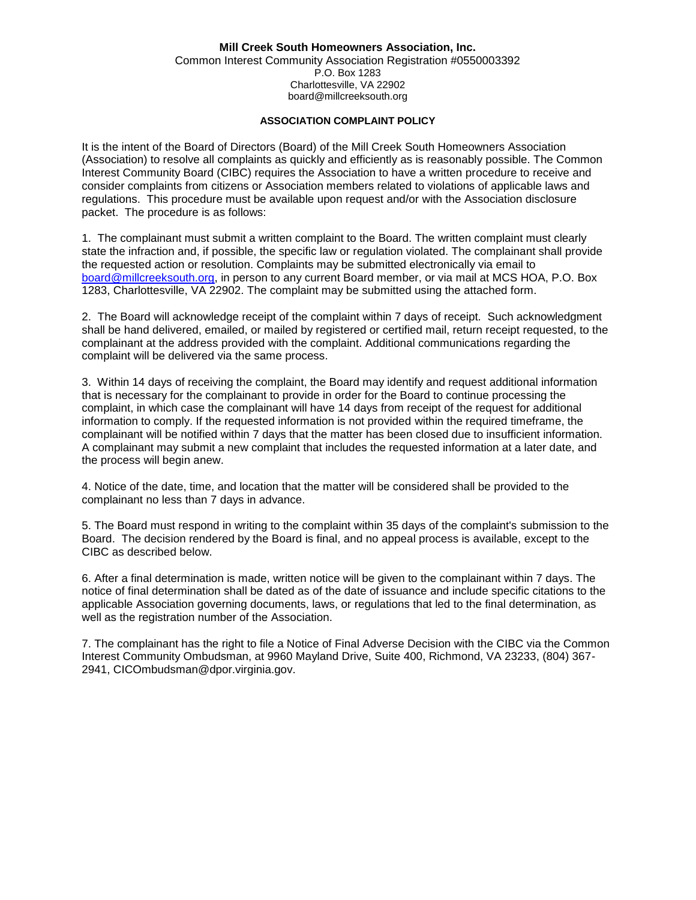## **Mill Creek South Homeowners Association, Inc.**

Common Interest Community Association Registration #0550003392 P.O. Box 1283 Charlottesville, VA 22902 board@millcreeksouth.org

## **ASSOCIATION COMPLAINT POLICY**

It is the intent of the Board of Directors (Board) of the Mill Creek South Homeowners Association (Association) to resolve all complaints as quickly and efficiently as is reasonably possible. The Common Interest Community Board (CIBC) requires the Association to have a written procedure to receive and consider complaints from citizens or Association members related to violations of applicable laws and regulations. This procedure must be available upon request and/or with the Association disclosure packet. The procedure is as follows:

1. The complainant must submit a written complaint to the Board. The written complaint must clearly state the infraction and, if possible, the specific law or regulation violated. The complainant shall provide the requested action or resolution. Complaints may be submitted electronically via email to [board@millcreeksouth.org,](mailto:board@millcreeksouth.org) in person to any current Board member, or via mail at MCS HOA, P.O. Box 1283, Charlottesville, VA 22902. The complaint may be submitted using the attached form.

2. The Board will acknowledge receipt of the complaint within 7 days of receipt. Such acknowledgment shall be hand delivered, emailed, or mailed by registered or certified mail, return receipt requested, to the complainant at the address provided with the complaint. Additional communications regarding the complaint will be delivered via the same process.

3. Within 14 days of receiving the complaint, the Board may identify and request additional information that is necessary for the complainant to provide in order for the Board to continue processing the complaint, in which case the complainant will have 14 days from receipt of the request for additional information to comply. If the requested information is not provided within the required timeframe, the complainant will be notified within 7 days that the matter has been closed due to insufficient information. A complainant may submit a new complaint that includes the requested information at a later date, and the process will begin anew.

4. Notice of the date, time, and location that the matter will be considered shall be provided to the complainant no less than 7 days in advance.

5. The Board must respond in writing to the complaint within 35 days of the complaint's submission to the Board. The decision rendered by the Board is final, and no appeal process is available, except to the CIBC as described below.

6. After a final determination is made, written notice will be given to the complainant within 7 days. The notice of final determination shall be dated as of the date of issuance and include specific citations to the applicable Association governing documents, laws, or regulations that led to the final determination, as well as the registration number of the Association.

7. The complainant has the right to file a Notice of Final Adverse Decision with the CIBC via the Common Interest Community Ombudsman, at 9960 Mayland Drive, Suite 400, Richmond, VA 23233, (804) 367- 2941, CICOmbudsman@dpor.virginia.gov.